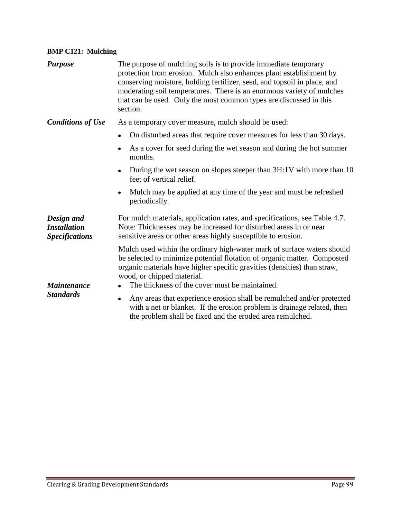## **BMP C121: Mulching**

| <b>Purpose</b>                                             | The purpose of mulching soils is to provide immediate temporary<br>protection from erosion. Mulch also enhances plant establishment by<br>conserving moisture, holding fertilizer, seed, and topsoil in place, and<br>moderating soil temperatures. There is an enormous variety of mulches<br>that can be used. Only the most common types are discussed in this<br>section. |  |  |  |
|------------------------------------------------------------|-------------------------------------------------------------------------------------------------------------------------------------------------------------------------------------------------------------------------------------------------------------------------------------------------------------------------------------------------------------------------------|--|--|--|
| <b>Conditions of Use</b>                                   | As a temporary cover measure, mulch should be used:                                                                                                                                                                                                                                                                                                                           |  |  |  |
|                                                            | On disturbed areas that require cover measures for less than 30 days.                                                                                                                                                                                                                                                                                                         |  |  |  |
|                                                            | As a cover for seed during the wet season and during the hot summer<br>months.                                                                                                                                                                                                                                                                                                |  |  |  |
|                                                            | During the wet season on slopes steeper than 3H:1V with more than 10<br>feet of vertical relief.                                                                                                                                                                                                                                                                              |  |  |  |
|                                                            | Mulch may be applied at any time of the year and must be refreshed<br>periodically.                                                                                                                                                                                                                                                                                           |  |  |  |
| Design and<br><b>Installation</b><br><b>Specifications</b> | For mulch materials, application rates, and specifications, see Table 4.7.<br>Note: Thicknesses may be increased for disturbed areas in or near<br>sensitive areas or other areas highly susceptible to erosion.                                                                                                                                                              |  |  |  |
| <b>Maintenance</b>                                         | Mulch used within the ordinary high-water mark of surface waters should<br>be selected to minimize potential flotation of organic matter. Composted<br>organic materials have higher specific gravities (densities) than straw,<br>wood, or chipped material.<br>The thickness of the cover must be maintained.                                                               |  |  |  |
| <b>Standards</b>                                           | Any areas that experience erosion shall be remulched and/or protected<br>٠<br>with a net or blanket. If the erosion problem is drainage related, then<br>the problem shall be fixed and the eroded area remulched.                                                                                                                                                            |  |  |  |